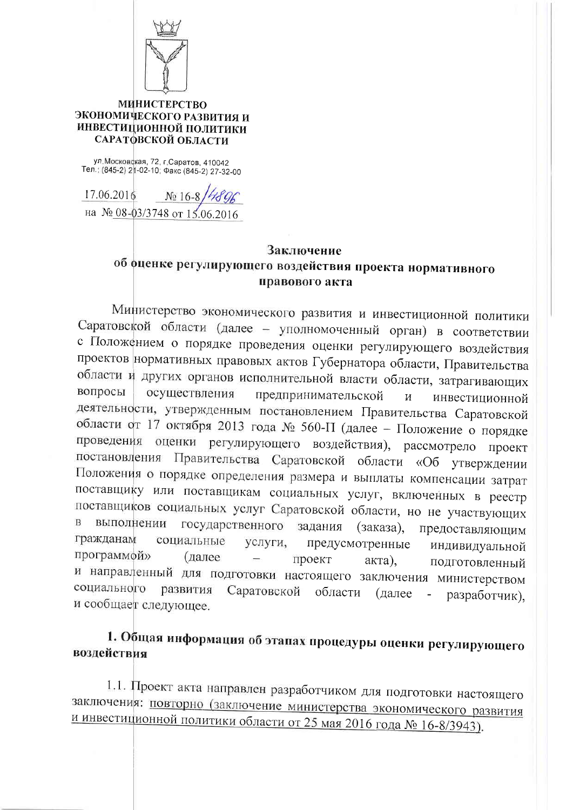

## **МИНИСТЕРСТВО** ЭКОНОМИЧЕСКОГО РАЗВИТИЯ И ИНВЕСТИЦИОННОЙ ПОЛИТИКИ САРАТФВСКОЙ ОБЛАСТИ

ул. Московская, 72, г. Саратов, 410042 Тел.: (845-2) 21-02-10; Факс (845-2) 27-32-00

17.06.2016  $N_0$  16-8 на № 08-03/3748 от 15.06.2016

## Заключение об оценке регулирующего воздействия проекта нормативного правового акта

Министерство экономического развития и инвестиционной политики Саратовской области (далее - уполномоченный орган) в соответствии с Положением о порядке проведения оценки регулирующего воздействия проектов нормативных правовых актов Губернатора области, Правительства области и других органов исполнительной власти области, затрагивающих вопросы осуществления предпринимательской  $\overline{M}$ инвестиционной деятельности, утвержденным постановлением Правительства Саратовской области от 17 октября 2013 года № 560-П (далее - Положение о порядке проведения оценки регулирующего воздействия), рассмотрело проект постановления Правительства Саратовской области «Об утверждении Положения о порядке определения размера и выплаты компенсации затрат поставщику или поставщикам социальных услуг, включенных в реестр поставщиков социальных услуг Саратовской области, но не участвующих  $\mathbf{B}$ выполнении государственного задания (заказа), предоставляющим гражданам социальные услуги, предусмотренные индивидуальной программой» (далее проект акта), подготовленный и направленный для подготовки настоящего заключения министерством социального развития Саратовской области (далее  $\omega_{\rm c}$ разработчик). и сообщает следующее.

## 1. Общая информация об этапах процедуры оценки регулирующего воздействия

1.1. Проект акта направлен разработчиком для подготовки настоящего заключения: повторно (заключение министерства экономического развития и инвестиционной политики области от 25 мая 2016 года № 16-8/3943).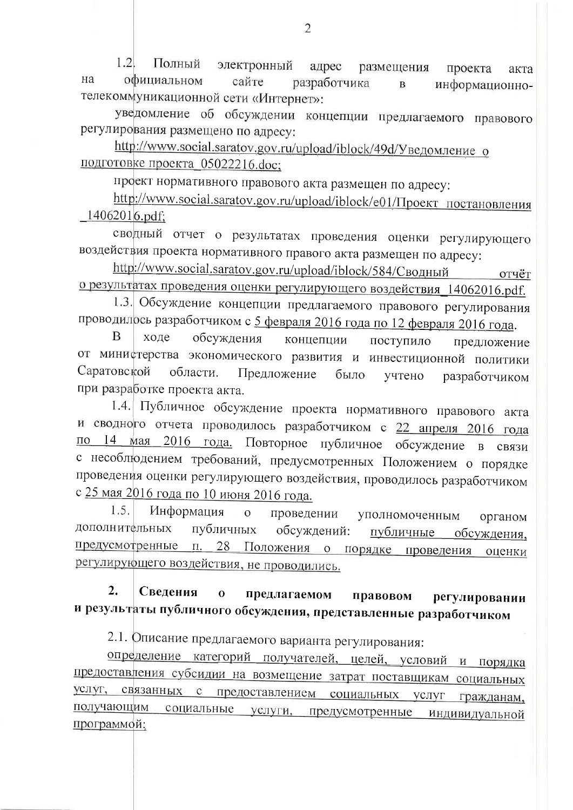$1.2<sub>l</sub>$ Полный электронный адрес размещения проекта акта на официальном сайте разработчика информационно- $\, {\bf B}$ телекоммуникационной сети «Интернет»:

уведомление об обсуждении концепции предлагаемого правового регулирования размещено по адресу:

http://www.social.saratov.gov.ru/upload/iblock/49d/Уведомление о подготовке проекта 05022216.doc;

проект нормативного правового акта размещен по адресу:

http://www.social.saratov.gov.ru/upload/iblock/e01/Проект постановления  $14062016.pdf$ :

сводный отчет о результатах проведения оценки регулирующего воздействия проекта нормативного правого акта размещен по адресу:

http://www.social.saratov.gov.ru/upload/iblock/584/Сводный отчёт о результатах проведения оценки регулирующего воздействия\_14062016.pdf.

1.3. Обсуждение концепции предлагаемого правового регулирования проводилось разработчиком с 5 февраля 2016 года по 12 февраля 2016 года.

B ходе обсуждения концепции поступило предложение от министерства экономического развития и инвестиционной политики Саратовской области. Предложение было учтено разработчиком при разработке проекта акта.

1.4. Публичное обсуждение проекта нормативного правового акта и сводного отчета проводилось разработчиком с 22 апреля 2016 года по 14 мая 2016 года. Повторное публичное обсуждение в связи с несоблюдением требований, предусмотренных Положением о порядке проведения оценки регулирующего воздействия, проводилось разработчиком с 25 мая 2016 года по 10 июня 2016 года.

1.5. Информация  $\overline{O}$ проведении уполномоченным органом дополнительных публичных публичные обсуждения, обсуждений: предусмотренные п. 28 Положения о порядке проведения оценки регулирующего воздействия, не проводились.

## $2.$ Сведения  $\overline{\mathbf{0}}$ предлагаемом правовом регулировании и результаты публичного обсуждения, представленные разработчиком

2.1. Описание предлагаемого варианта регулирования:

определение категорий получателей, целей, условий и порядка предоставления субсидии на возмещение затрат поставщикам социальных услуг, связанных с предоставлением социальных услуг гражданам, получающим социальные услуги, предусмотренные индивидуальной программой;

 $\mathfrak{D}$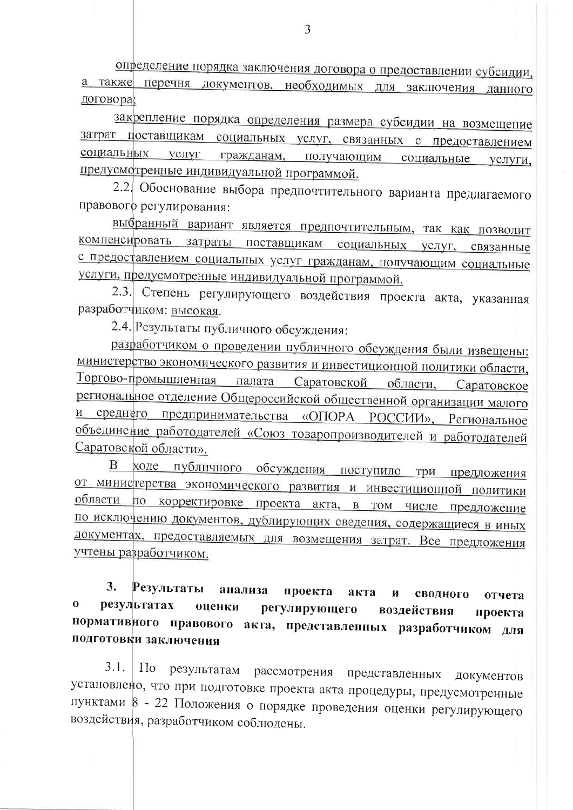определение порядка заключения договора о предоставлении субсидии, а также перечня документов, необходимых для заключения данного договора;

закрепление порядка определения размера субсидии на возмещение затрат поставщикам социальных услуг, связанных с предоставлением социальных услуг гражданам, получающим социальные услуги. предусмотренные индивидуальной программой.

2.2. Обоснование выбора предпочтительного варианта предлагаемого правового регулирования:

выбранный вариант является предпочтительным, так как позволит компенсировать затраты поставщикам социальных услуг, связанные с предоставлением социальных услуг гражданам, получающим социальные услуги, предусмотренные индивидуальной программой.

2.3. Степень регулирующего воздействия проекта акта, указанная разработчиком: высокая.

2.4. Результаты публичного обсуждения:

разработчиком о проведении публичного обсуждения были извещены: министерство экономического развития и инвестиционной политики области, Торгово-промышленная палата Саратовской области, Саратовское региональное отделение Общероссийской общественной организации малого и среднего предпринимательства «ОПОРА РОССИИ», Региональное объединение работодателей «Союз товаропроизводителей и работодателей Саратовской области».

В ходе публичного обсуждения поступило три предложения от министерства экономического развития и инвестиционной политики области по корректировке проекта акта, в том числе предложение по исключению документов, дублирующих сведения, содержащиеся в иных документах, предоставляемых для возмещения затрат. Все предложения учтены разработчиком.

3. Результаты анализа проекта акта  $\mathbf{M}$ сводного отчета  $\bf{0}$ результатах оценки регулирующего воздействия проекта нормативного правового акта, представленных разработчиком для подготовки заключения

 $3.1.$  $\Pi$ <sub>o</sub> результатам рассмотрения представленных документов установлено, что при подготовке проекта акта процедуры, предусмотренные пунктами 8 - 22 Положения о порядке проведения оценки регулирующего воздействия, разработчиком соблюдены.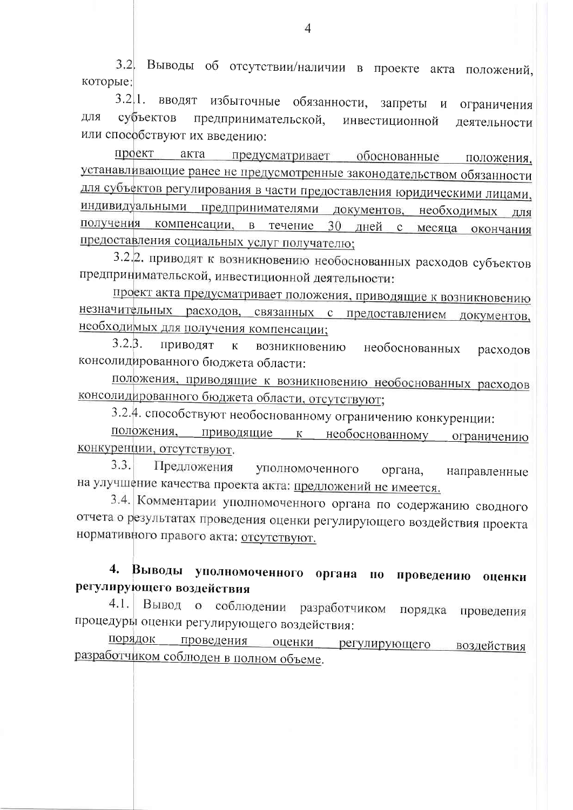3.2. Выводы об отсутствии/наличии в проекте акта положений, которые:

 $3.2|1.$ вводят избыточные обязанности, запреты и ограничения субъектов ДЛЯ предпринимательской, инвестиционной деятельности или способствуют их введению:

проект акта предусматривает обоснованные положения. устанавливающие ранее не предусмотренные законодательством обязанности для субъектов регулирования в части предоставления юридическими лицами, индивидуальными предпринимателями документов, необходимых для компенсации, в течение 30 дней получения  $\mathbf{c}$ месяца окончания предоставления социальных услуг получателю;

3.2. приводят к возникновению необоснованных расходов субъектов предпринимательской, инвестиционной деятельности:

проект акта предусматривает положения, приводящие к возникновению незначительных расходов, связанных с предоставлением документов, необходимых для получения компенсации;

 $3.2.\beta.$ Приводят  $\mathbf{K}$ возникновению необоснованных расходов консолидированного бюджета области:

положения, приводящие к возникновению необоснованных расходов консолидированного бюджета области, отсутствуют;

3.2.4. способствуют необоснованному ограничению конкуренции:

положения, приводящие  $K$ необ<u>о</u>снованному ограничению конкуренции, отсутствуют.

 $3.3.$ Предложения уполномоченного органа, направленные на улучшение качества проекта акта: предложений не имеется.

3.4. Комментарии уполномоченного органа по содержанию сводного отчета о результатах проведения оценки регулирующего воздействия проекта нормативного правого акта: отсутствуют.

Выводы уполномоченного органа  $\mathbf{4}$ .  $\mathbf{u}$ проведению оценки регулирующего воздействия

Вывод о соблюдении разработчиком  $4.1.$ порядка проведения процедуры оценки регулирующего воздействия:

проведения оценки регулирующего порядок воздействия разработчиком соблюден в полном объеме.

Δ